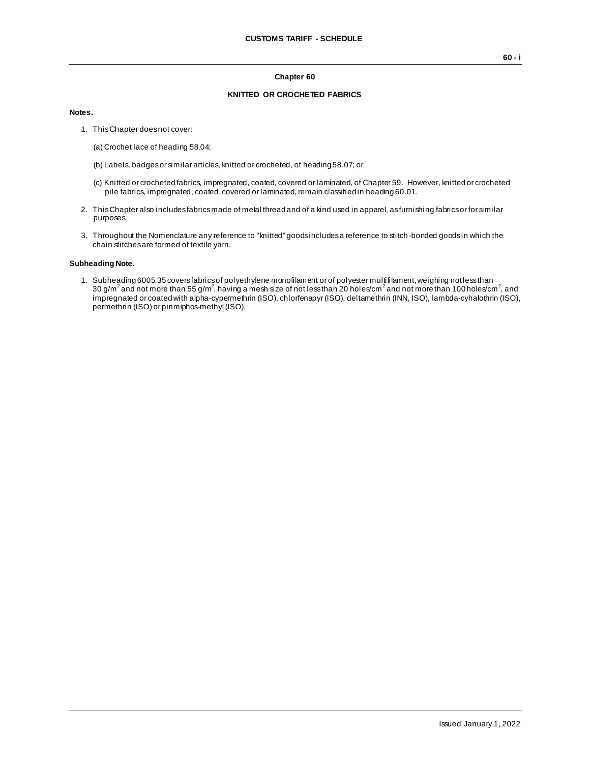#### **Chapter 60**

## **KNITTED OR CROCHETED FABRICS**

### **Notes.**

- 1. This Chapter does not cover:
	- (a) Crochet lace of heading 58.04;
	- (b) Labels, badges or similar articles, knitted or crocheted, of heading 58.07; or
	- (c) Knitted or crocheted fabrics, impregnated, coated, covered or laminated, of Chapter 59. However, knitted or crocheted pile fabrics, impregnated, coated, covered or laminated, remain classified in heading 60.01.
- 2. This Chapter also includes fabrics made of metal thread and of a kind used in apparel, as furnishing fabrics or for similar purposes.
- 3. Throughout the Nomenclature any reference to "knitted" goods includes a reference to stitch -bonded goods in which the chain stitches are formed of textile yarn.

#### **Subheading Note.**

1. Subheading 6005.35 coversfabrics of polyethylene monofilament or of polyester multifilament, weighing notless than<br>30 g/m² and not more than 55 g/m², having a mesh size of not less than 20 holes/cm² and not more than 1 impregnated or coated with alpha-cypermethrin (ISO), chlorfenapyr (ISO), deltamethrin (INN, ISO), lambda-cyhalothrin (ISO), permethrin (ISO) or pirimiphos-methyl (ISO).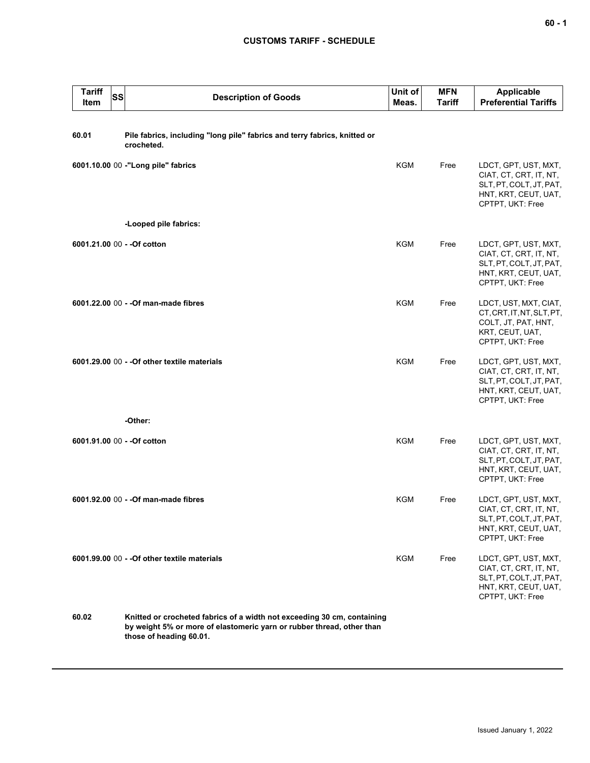## **CUSTOMS TARIFF - SCHEDULE**

| <b>Tariff</b><br>SS<br>Item | <b>Description of Goods</b>                                                                                                                                                 | Unit of<br>Meas. | <b>MFN</b><br><b>Tariff</b> | <b>Applicable</b><br><b>Preferential Tariffs</b>                                                                      |
|-----------------------------|-----------------------------------------------------------------------------------------------------------------------------------------------------------------------------|------------------|-----------------------------|-----------------------------------------------------------------------------------------------------------------------|
| 60.01                       | Pile fabrics, including "long pile" fabrics and terry fabrics, knitted or<br>crocheted.                                                                                     |                  |                             |                                                                                                                       |
|                             | 6001.10.00 00 -"Long pile" fabrics                                                                                                                                          | <b>KGM</b>       | Free                        | LDCT, GPT, UST, MXT,<br>CIAT, CT, CRT, IT, NT,<br>SLT, PT, COLT, JT, PAT,<br>HNT, KRT, CEUT, UAT,<br>CPTPT, UKT: Free |
|                             | -Looped pile fabrics:                                                                                                                                                       |                  |                             |                                                                                                                       |
| 6001.21.00 00 - - Of cotton |                                                                                                                                                                             | <b>KGM</b>       | Free                        | LDCT, GPT, UST, MXT,<br>CIAT, CT, CRT, IT, NT,<br>SLT, PT, COLT, JT, PAT,<br>HNT, KRT, CEUT, UAT,<br>CPTPT, UKT: Free |
|                             | 6001.22.00 00 - - Of man-made fibres                                                                                                                                        | <b>KGM</b>       | Free                        | LDCT, UST, MXT, CIAT,<br>CT, CRT, IT, NT, SLT, PT,<br>COLT, JT, PAT, HNT,<br>KRT, CEUT, UAT,<br>CPTPT, UKT: Free      |
|                             | 6001.29.00 00 - - Of other textile materials                                                                                                                                | <b>KGM</b>       | Free                        | LDCT, GPT, UST, MXT,<br>CIAT, CT, CRT, IT, NT,<br>SLT, PT, COLT, JT, PAT,<br>HNT, KRT, CEUT, UAT,<br>CPTPT, UKT: Free |
|                             | -Other:                                                                                                                                                                     |                  |                             |                                                                                                                       |
| 6001.91.00 00 - - Of cotton |                                                                                                                                                                             | <b>KGM</b>       | Free                        | LDCT, GPT, UST, MXT,<br>CIAT, CT, CRT, IT, NT,<br>SLT, PT, COLT, JT, PAT,<br>HNT, KRT, CEUT, UAT,<br>CPTPT, UKT: Free |
|                             | 6001.92.00 00 - - Of man-made fibres                                                                                                                                        | KGM              | Free                        | LDCT, GPT, UST, MXT,<br>CIAT, CT, CRT, IT, NT,<br>SLT, PT, COLT, JT, PAT,<br>HNT, KRT, CEUT, UAT,<br>CPTPT, UKT: Free |
|                             | 6001.99.00 00 - - Of other textile materials                                                                                                                                | KGM              | Free                        | LDCT, GPT, UST, MXT,<br>CIAT, CT, CRT, IT, NT,<br>SLT, PT, COLT, JT, PAT,<br>HNT, KRT, CEUT, UAT,<br>CPTPT, UKT: Free |
| 60.02                       | Knitted or crocheted fabrics of a width not exceeding 30 cm, containing<br>by weight 5% or more of elastomeric yarn or rubber thread, other than<br>those of heading 60.01. |                  |                             |                                                                                                                       |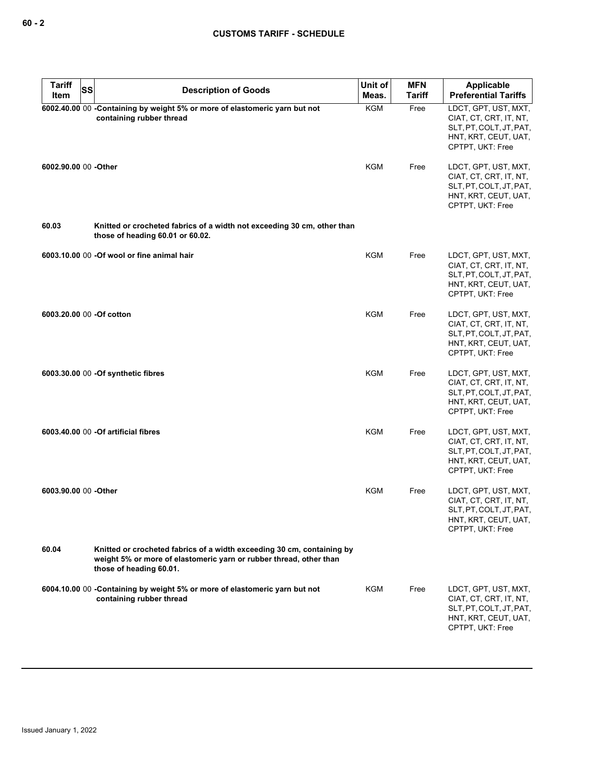| <b>Tariff</b><br>SS<br>Item | <b>Description of Goods</b>                                                                                                                                             | Unit of<br>Meas. | <b>MFN</b><br>Tariff | Applicable<br><b>Preferential Tariffs</b>                                                                             |
|-----------------------------|-------------------------------------------------------------------------------------------------------------------------------------------------------------------------|------------------|----------------------|-----------------------------------------------------------------------------------------------------------------------|
|                             | 6002.40.00 00 -Containing by weight 5% or more of elastomeric yarn but not<br>containing rubber thread                                                                  | <b>KGM</b>       | Free                 | LDCT, GPT, UST, MXT,<br>CIAT, CT, CRT, IT, NT,<br>SLT, PT, COLT, JT, PAT,<br>HNT, KRT, CEUT, UAT,<br>CPTPT, UKT: Free |
| 6002.90.00 00 -Other        |                                                                                                                                                                         | <b>KGM</b>       | Free                 | LDCT, GPT, UST, MXT,<br>CIAT, CT, CRT, IT, NT,<br>SLT, PT, COLT, JT, PAT,<br>HNT, KRT, CEUT, UAT,<br>CPTPT, UKT: Free |
| 60.03                       | Knitted or crocheted fabrics of a width not exceeding 30 cm, other than<br>those of heading 60.01 or 60.02.                                                             |                  |                      |                                                                                                                       |
|                             | 6003.10.00 00 -Of wool or fine animal hair                                                                                                                              | KGM              | Free                 | LDCT, GPT, UST, MXT,<br>CIAT, CT, CRT, IT, NT,<br>SLT, PT, COLT, JT, PAT,<br>HNT, KRT, CEUT, UAT,<br>CPTPT, UKT: Free |
| 6003.20.00 00 -Of cotton    |                                                                                                                                                                         | KGM              | Free                 | LDCT, GPT, UST, MXT,<br>CIAT, CT, CRT, IT, NT,<br>SLT, PT, COLT, JT, PAT,<br>HNT, KRT, CEUT, UAT,<br>CPTPT, UKT: Free |
|                             | 6003.30.00 00 - Of synthetic fibres                                                                                                                                     | <b>KGM</b>       | Free                 | LDCT, GPT, UST, MXT,<br>CIAT, CT, CRT, IT, NT,<br>SLT, PT, COLT, JT, PAT,<br>HNT, KRT, CEUT, UAT,<br>CPTPT, UKT: Free |
|                             | 6003.40.00 00 - Of artificial fibres                                                                                                                                    | <b>KGM</b>       | Free                 | LDCT, GPT, UST, MXT,<br>CIAT, CT, CRT, IT, NT,<br>SLT, PT, COLT, JT, PAT,<br>HNT, KRT, CEUT, UAT,<br>CPTPT, UKT: Free |
| 6003.90.00 00 -Other        |                                                                                                                                                                         | <b>KGM</b>       | Free                 | LDCT, GPT, UST, MXT,<br>CIAT, CT, CRT, IT, NT,<br>SLT, PT, COLT, JT, PAT,<br>HNT, KRT, CEUT, UAT,<br>CPTPT, UKT: Free |
| 60.04                       | Knitted or crocheted fabrics of a width exceeding 30 cm, containing by<br>weight 5% or more of elastomeric yarn or rubber thread, other than<br>those of heading 60.01. |                  |                      |                                                                                                                       |
|                             | 6004.10.00 00 - Containing by weight 5% or more of elastomeric yarn but not<br>containing rubber thread                                                                 | <b>KGM</b>       | Free                 | LDCT, GPT, UST, MXT,<br>CIAT, CT, CRT, IT, NT,<br>SLT, PT, COLT, JT, PAT,<br>HNT, KRT, CEUT, UAT,<br>CPTPT, UKT: Free |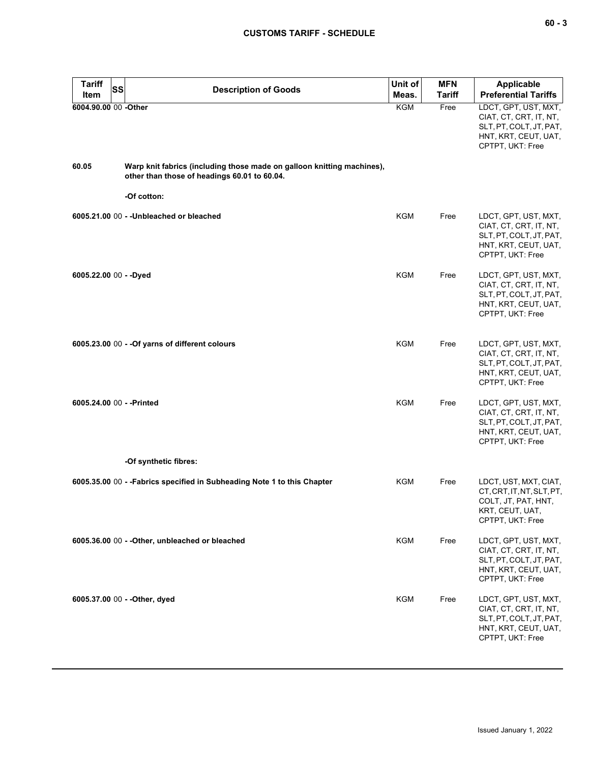| <b>Tariff</b><br><b>SS</b><br>Item | <b>Description of Goods</b>                                                                                            | Unit of<br>Meas. | <b>MFN</b><br><b>Tariff</b> | Applicable<br><b>Preferential Tariffs</b>                                                                             |
|------------------------------------|------------------------------------------------------------------------------------------------------------------------|------------------|-----------------------------|-----------------------------------------------------------------------------------------------------------------------|
| 6004.90.00 00 -Other               |                                                                                                                        | <b>KGM</b>       | Free                        | LDCT, GPT, UST, MXT,<br>CIAT, CT, CRT, IT, NT,<br>SLT, PT, COLT, JT, PAT,<br>HNT, KRT, CEUT, UAT,<br>CPTPT, UKT: Free |
| 60.05                              | Warp knit fabrics (including those made on galloon knitting machines),<br>other than those of headings 60.01 to 60.04. |                  |                             |                                                                                                                       |
|                                    | -Of cotton:                                                                                                            |                  |                             |                                                                                                                       |
|                                    | 6005.21.00 00 - - Unbleached or bleached                                                                               | <b>KGM</b>       | Free                        | LDCT, GPT, UST, MXT,<br>CIAT, CT, CRT, IT, NT,<br>SLT, PT, COLT, JT, PAT,<br>HNT, KRT, CEUT, UAT,<br>CPTPT, UKT: Free |
| 6005.22.00 00 - - Dyed             |                                                                                                                        | <b>KGM</b>       | Free                        | LDCT, GPT, UST, MXT,<br>CIAT, CT, CRT, IT, NT,<br>SLT, PT, COLT, JT, PAT,<br>HNT, KRT, CEUT, UAT,<br>CPTPT, UKT: Free |
|                                    | 6005.23.00 00 - - Of yarns of different colours                                                                        | <b>KGM</b>       | Free                        | LDCT, GPT, UST, MXT,<br>CIAT, CT, CRT, IT, NT,<br>SLT, PT, COLT, JT, PAT,<br>HNT, KRT, CEUT, UAT,<br>CPTPT, UKT: Free |
| 6005.24.00 00 - - Printed          |                                                                                                                        | <b>KGM</b>       | Free                        | LDCT, GPT, UST, MXT,<br>CIAT, CT, CRT, IT, NT,<br>SLT, PT, COLT, JT, PAT,<br>HNT, KRT, CEUT, UAT,<br>CPTPT, UKT: Free |
|                                    | -Of synthetic fibres:                                                                                                  |                  |                             |                                                                                                                       |
|                                    | 6005.35.00 00 - - Fabrics specified in Subheading Note 1 to this Chapter                                               | KGM              | Free                        | LDCT, UST, MXT, CIAT,<br>CT, CRT, IT, NT, SLT, PT,<br>COLT, JT, PAT, HNT,<br>KRT, CEUT, UAT,<br>CPTPT, UKT: Free      |
|                                    | 6005.36.00 00 - - Other, unbleached or bleached                                                                        | <b>KGM</b>       | Free                        | LDCT, GPT, UST, MXT,<br>CIAT, CT, CRT, IT, NT,<br>SLT, PT, COLT, JT, PAT,<br>HNT, KRT, CEUT, UAT,<br>CPTPT, UKT: Free |
|                                    | 6005.37.00 00 - - Other, dyed                                                                                          | <b>KGM</b>       | Free                        | LDCT, GPT, UST, MXT,<br>CIAT, CT, CRT, IT, NT,<br>SLT, PT, COLT, JT, PAT,<br>HNT, KRT, CEUT, UAT,<br>CPTPT, UKT: Free |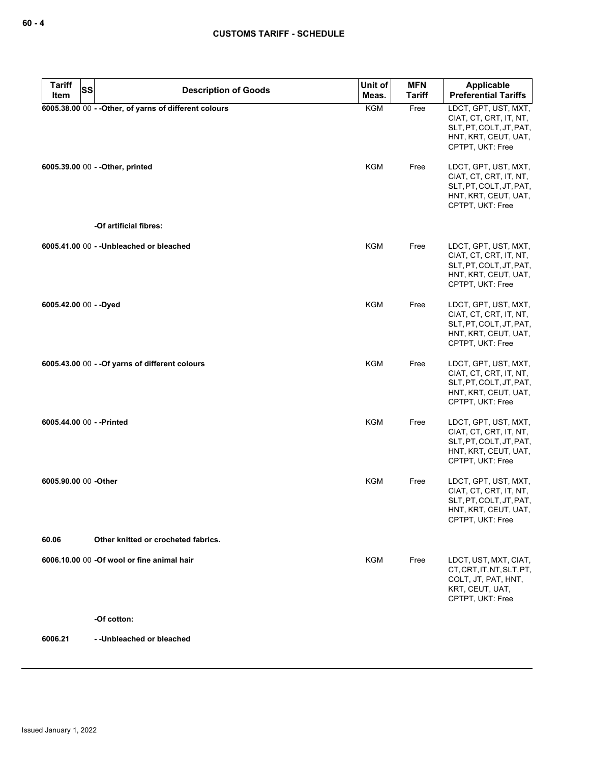| <b>Tariff</b><br><b>SS</b> | <b>Description of Goods</b>                            | Unit of    | <b>MFN</b>    | Applicable                                                                                                            |
|----------------------------|--------------------------------------------------------|------------|---------------|-----------------------------------------------------------------------------------------------------------------------|
| Item                       |                                                        | Meas.      | <b>Tariff</b> | <b>Preferential Tariffs</b>                                                                                           |
|                            | 6005.38.00 00 - - Other, of yarns of different colours | <b>KGM</b> | Free          | LDCT, GPT, UST, MXT,<br>CIAT, CT, CRT, IT, NT,<br>SLT, PT, COLT, JT, PAT,<br>HNT, KRT, CEUT, UAT,<br>CPTPT, UKT: Free |
|                            | 6005.39.00 00 - - Other, printed                       | KGM        | Free          | LDCT, GPT, UST, MXT,<br>CIAT, CT, CRT, IT, NT,<br>SLT, PT, COLT, JT, PAT,<br>HNT, KRT, CEUT, UAT,<br>CPTPT, UKT: Free |
|                            | -Of artificial fibres:                                 |            |               |                                                                                                                       |
|                            | 6005.41.00 00 - - Unbleached or bleached               | <b>KGM</b> | Free          | LDCT, GPT, UST, MXT,<br>CIAT, CT, CRT, IT, NT,<br>SLT, PT, COLT, JT, PAT,<br>HNT, KRT, CEUT, UAT,<br>CPTPT, UKT: Free |
| 6005.42.00 00 - - Dyed     |                                                        | KGM        | Free          | LDCT, GPT, UST, MXT,<br>CIAT, CT, CRT, IT, NT,<br>SLT, PT, COLT, JT, PAT,<br>HNT, KRT, CEUT, UAT,<br>CPTPT, UKT: Free |
|                            | 6005.43.00 00 - - Of yarns of different colours        | <b>KGM</b> | Free          | LDCT, GPT, UST, MXT,<br>CIAT, CT, CRT, IT, NT,<br>SLT, PT, COLT, JT, PAT,<br>HNT, KRT, CEUT, UAT,<br>CPTPT, UKT: Free |
| 6005.44.00 00 - - Printed  |                                                        | <b>KGM</b> | Free          | LDCT, GPT, UST, MXT,<br>CIAT, CT, CRT, IT, NT,<br>SLT, PT, COLT, JT, PAT,<br>HNT, KRT, CEUT, UAT,<br>CPTPT, UKT: Free |
| 6005.90.00 00 -Other       |                                                        | <b>KGM</b> | Free          | LDCT, GPT, UST, MXT,<br>CIAT, CT, CRT, IT, NT,<br>SLT, PT, COLT, JT, PAT,<br>HNT, KRT, CEUT, UAT,<br>CPTPT, UKT: Free |
| 60.06                      | Other knitted or crocheted fabrics.                    |            |               |                                                                                                                       |
|                            | 6006.10.00 00 -Of wool or fine animal hair             | KGM        | Free          | LDCT, UST, MXT, CIAT,<br>CT, CRT, IT, NT, SLT, PT,<br>COLT, JT, PAT, HNT,<br>KRT, CEUT, UAT,<br>CPTPT, UKT: Free      |
|                            | -Of cotton:                                            |            |               |                                                                                                                       |

**6006.21 - -Unbleached or bleached**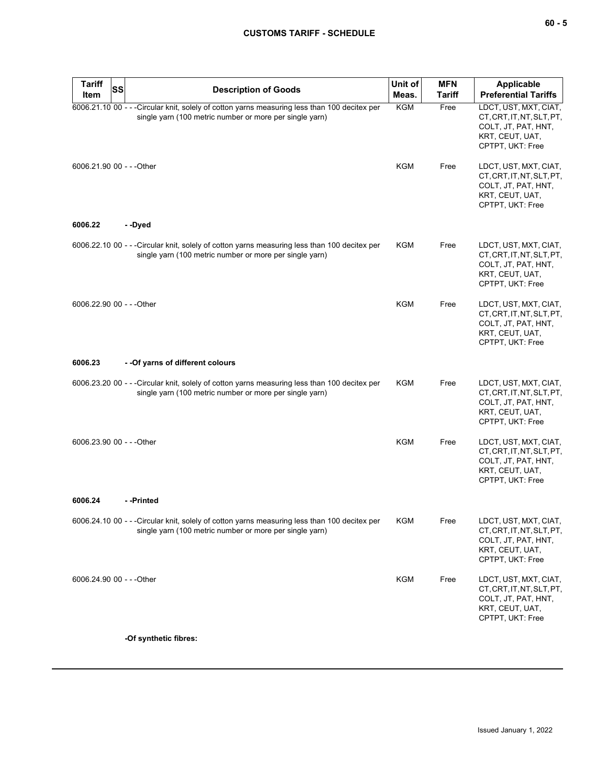# **CUSTOMS TARIFF - SCHEDULE**

| <b>Tariff</b><br>SS<br><b>Item</b> | <b>Description of Goods</b>                                                                                                                              | Unit of<br>Meas. | <b>MFN</b><br><b>Tariff</b> | <b>Applicable</b><br><b>Preferential Tariffs</b>                                                                 |
|------------------------------------|----------------------------------------------------------------------------------------------------------------------------------------------------------|------------------|-----------------------------|------------------------------------------------------------------------------------------------------------------|
|                                    | 6006.21.10 00 - - - Circular knit, solely of cotton yarns measuring less than 100 decitex per<br>single yarn (100 metric number or more per single yarn) | KGM              | Free                        | LDCT, UST, MXT, CIAT,<br>CT, CRT, IT, NT, SLT, PT,<br>COLT, JT, PAT, HNT,<br>KRT, CEUT, UAT,<br>CPTPT, UKT: Free |
| 6006.21.90 00 - - - Other          |                                                                                                                                                          | <b>KGM</b>       | Free                        | LDCT, UST, MXT, CIAT,<br>CT, CRT, IT, NT, SLT, PT,<br>COLT, JT, PAT, HNT,<br>KRT, CEUT, UAT,<br>CPTPT, UKT: Free |
| 6006.22                            | --Dyed                                                                                                                                                   |                  |                             |                                                                                                                  |
|                                    | 6006.22.10 00 - - -Circular knit, solely of cotton yarns measuring less than 100 decitex per<br>single yarn (100 metric number or more per single yarn)  | KGM              | Free                        | LDCT, UST, MXT, CIAT,<br>CT, CRT, IT, NT, SLT, PT,<br>COLT, JT, PAT, HNT,<br>KRT, CEUT, UAT,<br>CPTPT, UKT: Free |
| 6006.22.90 00 - - - Other          |                                                                                                                                                          | <b>KGM</b>       | Free                        | LDCT, UST, MXT, CIAT,<br>CT, CRT, IT, NT, SLT, PT,<br>COLT, JT, PAT, HNT,<br>KRT, CEUT, UAT,<br>CPTPT, UKT: Free |
| 6006.23                            | - - Of yarns of different colours                                                                                                                        |                  |                             |                                                                                                                  |
|                                    | 6006.23.20 00 - - -Circular knit, solely of cotton yarns measuring less than 100 decitex per<br>single yarn (100 metric number or more per single yarn)  | KGM              | Free                        | LDCT, UST, MXT, CIAT,<br>CT, CRT, IT, NT, SLT, PT,<br>COLT, JT, PAT, HNT,<br>KRT, CEUT, UAT,<br>CPTPT, UKT: Free |
| 6006.23.90 00 - - - Other          |                                                                                                                                                          | <b>KGM</b>       | Free                        | LDCT, UST, MXT, CIAT,<br>CT, CRT, IT, NT, SLT, PT,<br>COLT, JT, PAT, HNT,<br>KRT, CEUT, UAT,<br>CPTPT, UKT: Free |
| 6006.24                            | - -Printed                                                                                                                                               |                  |                             |                                                                                                                  |
|                                    | 6006.24.10 00 - - -Circular knit, solely of cotton yarns measuring less than 100 decitex per<br>single yarn (100 metric number or more per single yarn)  | KGM              | Free                        | LDCT, UST, MXT, CIAT,<br>CT.CRT.IT.NT.SLT.PT.<br>COLT, JT, PAT, HNT,<br>KRT, CEUT, UAT,<br>CPTPT, UKT: Free      |
| 6006.24.90 00 - - - Other          |                                                                                                                                                          | KGM              | Free                        | LDCT, UST, MXT, CIAT,<br>CT, CRT, IT, NT, SLT, PT,<br>COLT, JT, PAT, HNT,<br>KRT, CEUT, UAT,<br>CPTPT, UKT: Free |
|                                    | -Of synthetic fibres:                                                                                                                                    |                  |                             |                                                                                                                  |